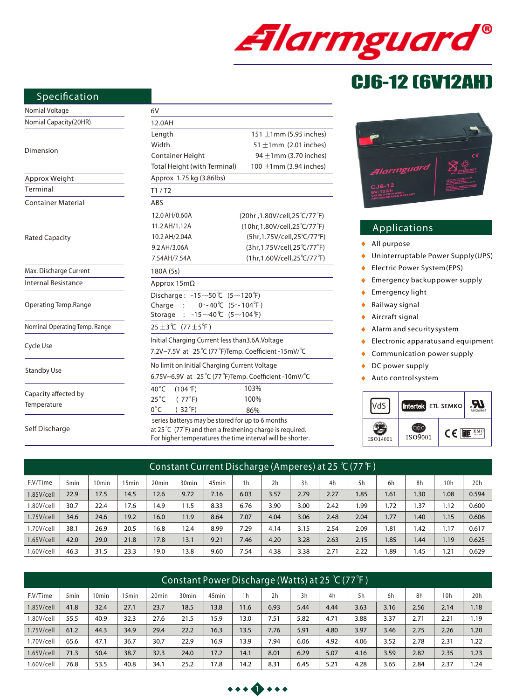

# CJ6-12 (6V12AH)

## **Specification**

| Nomial Voltage                | 6V                                                        |                                                                              |  |  |  |  |  |  |
|-------------------------------|-----------------------------------------------------------|------------------------------------------------------------------------------|--|--|--|--|--|--|
| Nomial Capacity(20HR)         | 12.0AH                                                    |                                                                              |  |  |  |  |  |  |
|                               | Length                                                    | 151 $\pm$ 1mm (5.95 inches)                                                  |  |  |  |  |  |  |
|                               | Width                                                     | 51 $\pm$ 1mm (2.01 inches)                                                   |  |  |  |  |  |  |
| Dimension                     | Container Height                                          | 94 $\pm$ 1mm (3.70 inches)                                                   |  |  |  |  |  |  |
|                               | Total Height (with Terminal)                              | 100 $\pm$ 1mm (3.94 inches)                                                  |  |  |  |  |  |  |
| Approx Weight                 | Approx 1.75 kg (3.86lbs)                                  |                                                                              |  |  |  |  |  |  |
| Terminal                      | T1/ T2                                                    |                                                                              |  |  |  |  |  |  |
| <b>Container Material</b>     | ABS                                                       |                                                                              |  |  |  |  |  |  |
|                               | 12.0 AH/0.60A                                             | (20hr ,1.80V/cell,25 °C/77 °F)                                               |  |  |  |  |  |  |
|                               | 11.2 AH/1.12A                                             | (10hr,1.80V/cell,25℃/77°F)                                                   |  |  |  |  |  |  |
| <b>Rated Capacity</b>         | 10.2 AH/2.04A                                             | (5hr,1.75V/cell,25°C/77°F)                                                   |  |  |  |  |  |  |
|                               | 9.2 AH/3.06A                                              | (3hr,1.75V/cell,25°C/77°F)                                                   |  |  |  |  |  |  |
|                               | 7.54AH/7.54A                                              | (1hr, 1.60V/cell, 25°C/77°F)                                                 |  |  |  |  |  |  |
| Max. Discharge Current        | 180A (5s)                                                 |                                                                              |  |  |  |  |  |  |
| <b>Internal Resistance</b>    | Approx $15m\Omega$                                        |                                                                              |  |  |  |  |  |  |
|                               | Discharge: $-15 \sim 50$ (5 $\sim$ 120 F)                 |                                                                              |  |  |  |  |  |  |
| Operating Temp.Range          | Charge :<br>$0^\sim 40^\circ C$ (5 $\sim$ 104 $^\circ$ F) |                                                                              |  |  |  |  |  |  |
|                               | $-15 \sim 40$ °C $(5 \sim 104$ °F)<br>Storage<br>$\cdot$  |                                                                              |  |  |  |  |  |  |
| Nominal Operating Temp. Range | 25 ±3 ℃ (77 ±5 °F)                                        |                                                                              |  |  |  |  |  |  |
|                               | Initial Charging Current less than 3.6A. Voltage          |                                                                              |  |  |  |  |  |  |
| Cycle Use                     | 7.2V~7.5V at 25°C (77°F)Temp. Coefficient -15mV/°C        |                                                                              |  |  |  |  |  |  |
|                               | No limit on Initial Charging Current Voltage              |                                                                              |  |  |  |  |  |  |
| <b>Standby Use</b>            | 6.75V~6.9V at 25 °C (77 °F)Temp. Coefficient -10mV/ °C    |                                                                              |  |  |  |  |  |  |
|                               | $40^{\circ}$ C<br>$(104 \text{ }^{\circ}\text{F})$        | 103%                                                                         |  |  |  |  |  |  |
| Capacity affected by          | $25^{\circ}$ C<br>(77°F)                                  | 100%                                                                         |  |  |  |  |  |  |
| Temperature                   | $0^{\circ}$ C<br>$(32^{\circ}F)$                          | 86%                                                                          |  |  |  |  |  |  |
| Self Discharge                | series batterys may be stored for up to 6 months          | at 25 $\degree$ C (77 $\degree$ F) and then a freshening charge is required. |  |  |  |  |  |  |

en a freshening charge is required. For higher temperatures the time interval will be shorter.

| $20 - 1$                                                                                   |                                                                                                                                                                                                                                                    |
|--------------------------------------------------------------------------------------------|----------------------------------------------------------------------------------------------------------------------------------------------------------------------------------------------------------------------------------------------------|
| <b>Alarmguard</b><br>$CJ6-12$<br><b>GV-12Ah</b><br>VALVE REGULATED<br>RECHARGEABLE BATTERY | <b>Most Be Recycled</b><br>PЬ<br>CONSTANT VOLTAGE CHARGE<br>CYCLE DAET/ 19-7,68Y<br>STARDST USE/E-TEALON<br>STARL CURRENT/LESS TWAN & 60<br>SALTING - MAY THE BATTERY TENNIS<br>QUINT DANNIE IN BEALER CONTINUE<br>QUINT DANNIE IN BEALER CONTINUE |

# **Applications**

- $\bullet$ *All purpose*
- *Uninterruptable Power Supply (UPS)*  $\ddot{\bullet}$
- *Electric Power System (EPS)* k
- *Emergency backup power supply*  $\bullet$
- *Emergency light*   $\bullet$
- $\bullet$ *Railway signal*
- *Aircraft signal*  $\bullet$
- *Alarm and security system*  $\bullet$
- *Electronic apparatus and equipment* ×
- k *Communication power supply*
- *DC power supply*  $\ddot{\phantom{a}}$
- *Auto control system*  $\blacktriangle$



| Constant Current Discharge (Amperes) at 25 °C (77 °F) |                  |       |       |                   |                   |                   |                |      |      |      |       |      |                  |                 |       |
|-------------------------------------------------------|------------------|-------|-------|-------------------|-------------------|-------------------|----------------|------|------|------|-------|------|------------------|-----------------|-------|
| F.V/Time                                              | 5 <sub>min</sub> | 10min | 15min | 20 <sub>min</sub> | 30 <sub>min</sub> | 45 <sub>min</sub> | 1 <sub>h</sub> | 2h   | 3h   | 4h   | 5h    | 6h   | 8h               | 10 <sub>h</sub> | 20h   |
| 1.85V/cell                                            | 22.9             | 17.5  | 14.5  | 12.6              | 9.72              | 7.16              | 6.03           | 3.57 | 2.79 | 2.27 | 1.85  | 1.61 | .30 <sub>1</sub> | 1.08            | 0.594 |
| 1.80V/cell                                            | 30.7             | 22.4  | 17.6  | 14.9              | 11.5              | 8.33              | 6.76           | 3.90 | 3.00 | 2.42 | 99. ا | 1.72 | . 37             | 1.12            | 0.600 |
| $1.75V$ /cell                                         | 34.6             | 24.6  | 19.2  | 16.0              | 11.9              | 8.64              | 7.07           | 4.04 | 3.06 | 2.48 | 2.04  | 1.77 | 1.40             | 1.15            | 0.606 |
| 1.70V/cell                                            | 38.1             | 26.9  | 20.5  | 16.8              | 12.4              | 8.99              | 7.29           | 4.14 | 3.15 | 2.54 | 2.09  | 1.81 | 1.42             | 1.17            | 0.617 |
| 1.65V/cell                                            | 42.0             | 29.0  | 21.8  | 17.8              | 13.1              | 9.21              | 7.46           | 4.20 | 3.28 | 2.63 | 2.15  | 1.85 | 1.44             | 1.19            | 0.625 |
| l.60V/cell                                            | 46.3             | 31.5  | 23.3  | 19.0              | 13.8              | 9.60              | 7.54           | 4.38 | 3.38 | 2.71 | 2.22  | 1.89 | .45              | 1.21            | 0.629 |

| Constant Power Discharge (Watts) at 25 °C (77 °F) |                  |                   |       |                   |                   |                   |                |      |      |      |      |      |      |                 |      |
|---------------------------------------------------|------------------|-------------------|-------|-------------------|-------------------|-------------------|----------------|------|------|------|------|------|------|-----------------|------|
| F.V/Time                                          | 5 <sub>min</sub> | 10 <sub>min</sub> | 15min | 20 <sub>min</sub> | 30 <sub>min</sub> | 45 <sub>min</sub> | 1 <sub>h</sub> | 2h   | 3h   | 4h   | 5h   | 6h   | 8h   | 10 <sub>h</sub> | 20h  |
| $1.85$ V/cell                                     | 41.8             | 32.4              | 27.1  | 23.7              | 18.5              | 13.8              | 11.6           | 6.93 | 5.44 | 4.44 | 3.63 | 3.16 | 2.56 | 2.14            | 1.18 |
| 1.80V/cell                                        | 55.5             | 40.9              | 32.3  | 27.6              | 21.5              | 15.9              | 13.0           | 7.51 | 5.82 | 4.71 | 3.88 | 3.37 | 2.71 | 2.21            | 1.19 |
| 1.75V/cell                                        | 61.2             | 44.3              | 34.9  | 29.4              | 22.2              | 16.3              | 13.5           | 7.76 | 5.91 | 4.80 | 3.97 | 3.46 | 2.75 | 2.26            | 1.20 |
| 1.70V/cell                                        | 65.6             | 47.1              | 36.7  | 30.7              | 22.9              | 16.9              | 13.9           | 7.94 | 6.06 | 4.92 | 4.06 | 3.52 | 2.78 | 2.31            | 1.22 |
| $1.65$ V/cell                                     | 71.3             | 50.4              | 38.7  | 32.3              | 24.0              | 17.2              | 14.1           | 8.01 | 6.29 | 5.07 | 4.16 | 3.59 | 2.82 | 2.35            | 1.23 |
| .60V/cell                                         | 76.8             | 53.5              | 40.8  | 34.1              | 25.2              | 17.8              | 14.2           | 8.31 | 6.45 | 5.21 | 4.28 | 3.65 | 2.84 | 2.37            | .24  |